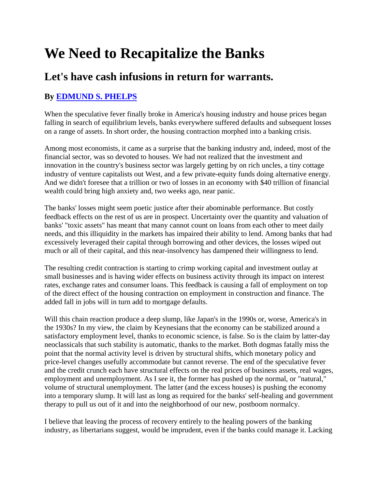## **We Need to Recapitalize the Banks**

## **Let's have cash infusions in return for warrants.**

## **By EDMUND S. PHELPS**

When the speculative fever finally broke in America's housing industry and house prices began falling in search of equilibrium levels, banks everywhere suffered defaults and subsequent losses on a range of assets. In short order, the housing contraction morphed into a banking crisis.

Among most economists, it came as a surprise that the banking industry and, indeed, most of the financial sector, was so devoted to houses. We had not realized that the investment and innovation in the country's business sector was largely getting by on rich uncles, a tiny cottage industry of venture capitalists out West, and a few private-equity funds doing alternative energy. And we didn't foresee that a trillion or two of losses in an economy with \$40 trillion of financial wealth could bring high anxiety and, two weeks ago, near panic.

The banks' losses might seem poetic justice after their abominable performance. But costly feedback effects on the rest of us are in prospect. Uncertainty over the quantity and valuation of banks' "toxic assets" has meant that many cannot count on loans from each other to meet daily needs, and this illiquidity in the markets has impaired their ability to lend. Among banks that had excessively leveraged their capital through borrowing and other devices, the losses wiped out much or all of their capital, and this near-insolvency has dampened their willingness to lend.

The resulting credit contraction is starting to crimp working capital and investment outlay at small businesses and is having wider effects on business activity through its impact on interest rates, exchange rates and consumer loans. This feedback is causing a fall of employment on top of the direct effect of the housing contraction on employment in construction and finance. The added fall in jobs will in turn add to mortgage defaults.

Will this chain reaction produce a deep slump, like Japan's in the 1990s or, worse, America's in the 1930s? In my view, the claim by Keynesians that the economy can be stabilized around a satisfactory employment level, thanks to economic science, is false. So is the claim by latter-day neoclassicals that such stability is automatic, thanks to the market. Both dogmas fatally miss the point that the normal activity level is driven by structural shifts, which monetary policy and price-level changes usefully accommodate but cannot reverse. The end of the speculative fever and the credit crunch each have structural effects on the real prices of business assets, real wages, employment and unemployment. As I see it, the former has pushed up the normal, or "natural," volume of structural unemployment. The latter (and the excess houses) is pushing the economy into a temporary slump. It will last as long as required for the banks' self-healing and government therapy to pull us out of it and into the neighborhood of our new, postboom normalcy.

I believe that leaving the process of recovery entirely to the healing powers of the banking industry, as libertarians suggest, would be imprudent, even if the banks could manage it. Lacking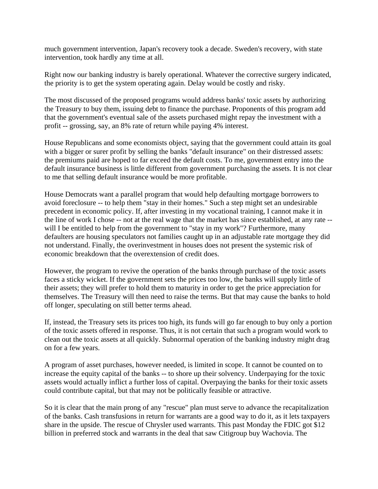much government intervention, Japan's recovery took a decade. Sweden's recovery, with state intervention, took hardly any time at all.

Right now our banking industry is barely operational. Whatever the corrective surgery indicated, the priority is to get the system operating again. Delay would be costly and risky.

The most discussed of the proposed programs would address banks' toxic assets by authorizing the Treasury to buy them, issuing debt to finance the purchase. Proponents of this program add that the government's eventual sale of the assets purchased might repay the investment with a profit -- grossing, say, an 8% rate of return while paying 4% interest.

House Republicans and some economists object, saying that the government could attain its goal with a bigger or surer profit by selling the banks "default insurance" on their distressed assets: the premiums paid are hoped to far exceed the default costs. To me, government entry into the default insurance business is little different from government purchasing the assets. It is not clear to me that selling default insurance would be more profitable.

House Democrats want a parallel program that would help defaulting mortgage borrowers to avoid foreclosure -- to help them "stay in their homes." Such a step might set an undesirable precedent in economic policy. If, after investing in my vocational training, I cannot make it in the line of work I chose -- not at the real wage that the market has since established, at any rate - will I be entitled to help from the government to "stay in my work"? Furthermore, many defaulters are housing speculators not families caught up in an adjustable rate mortgage they did not understand. Finally, the overinvestment in houses does not present the systemic risk of economic breakdown that the overextension of credit does.

However, the program to revive the operation of the banks through purchase of the toxic assets faces a sticky wicket. If the government sets the prices too low, the banks will supply little of their assets; they will prefer to hold them to maturity in order to get the price appreciation for themselves. The Treasury will then need to raise the terms. But that may cause the banks to hold off longer, speculating on still better terms ahead.

If, instead, the Treasury sets its prices too high, its funds will go far enough to buy only a portion of the toxic assets offered in response. Thus, it is not certain that such a program would work to clean out the toxic assets at all quickly. Subnormal operation of the banking industry might drag on for a few years.

A program of asset purchases, however needed, is limited in scope. It cannot be counted on to increase the equity capital of the banks -- to shore up their solvency. Underpaying for the toxic assets would actually inflict a further loss of capital. Overpaying the banks for their toxic assets could contribute capital, but that may not be politically feasible or attractive.

So it is clear that the main prong of any "rescue" plan must serve to advance the recapitalization of the banks. Cash transfusions in return for warrants are a good way to do it, as it lets taxpayers share in the upside. The rescue of Chrysler used warrants. This past Monday the FDIC got \$12 billion in preferred stock and warrants in the deal that saw Citigroup buy Wachovia. The